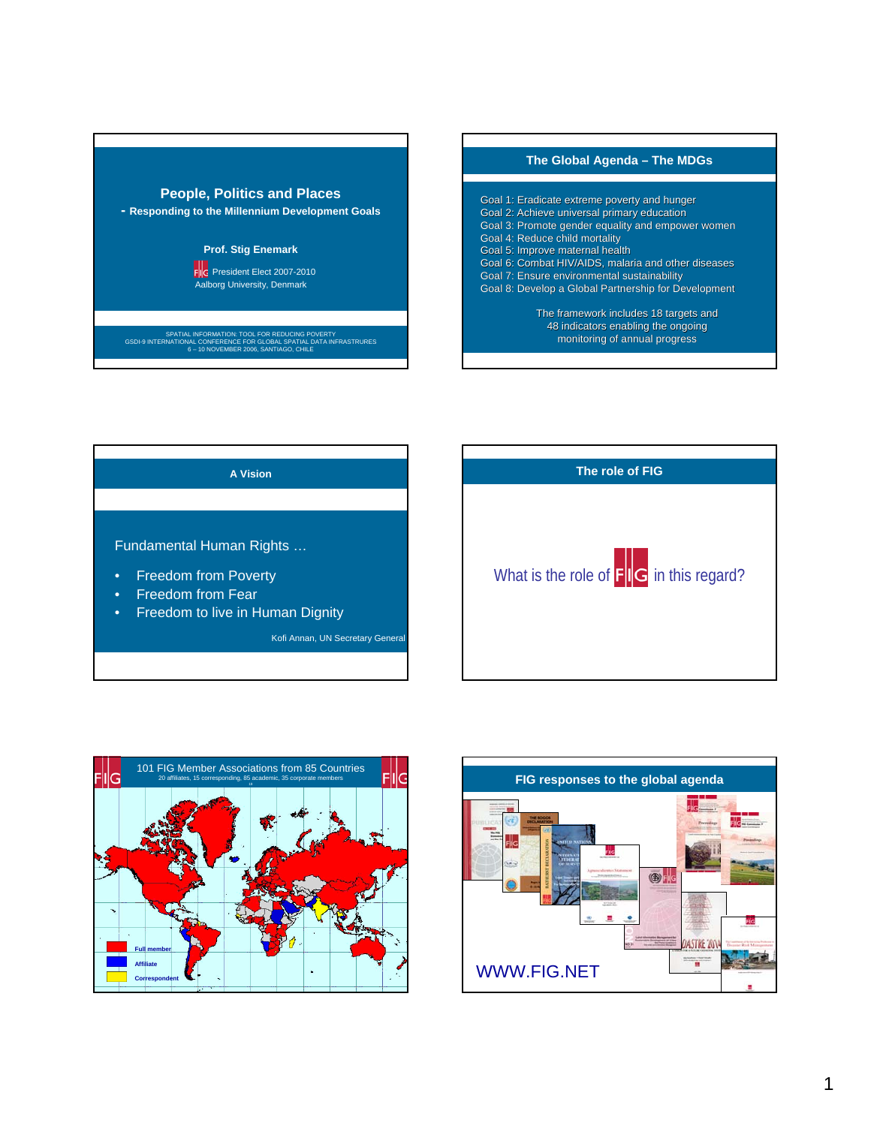









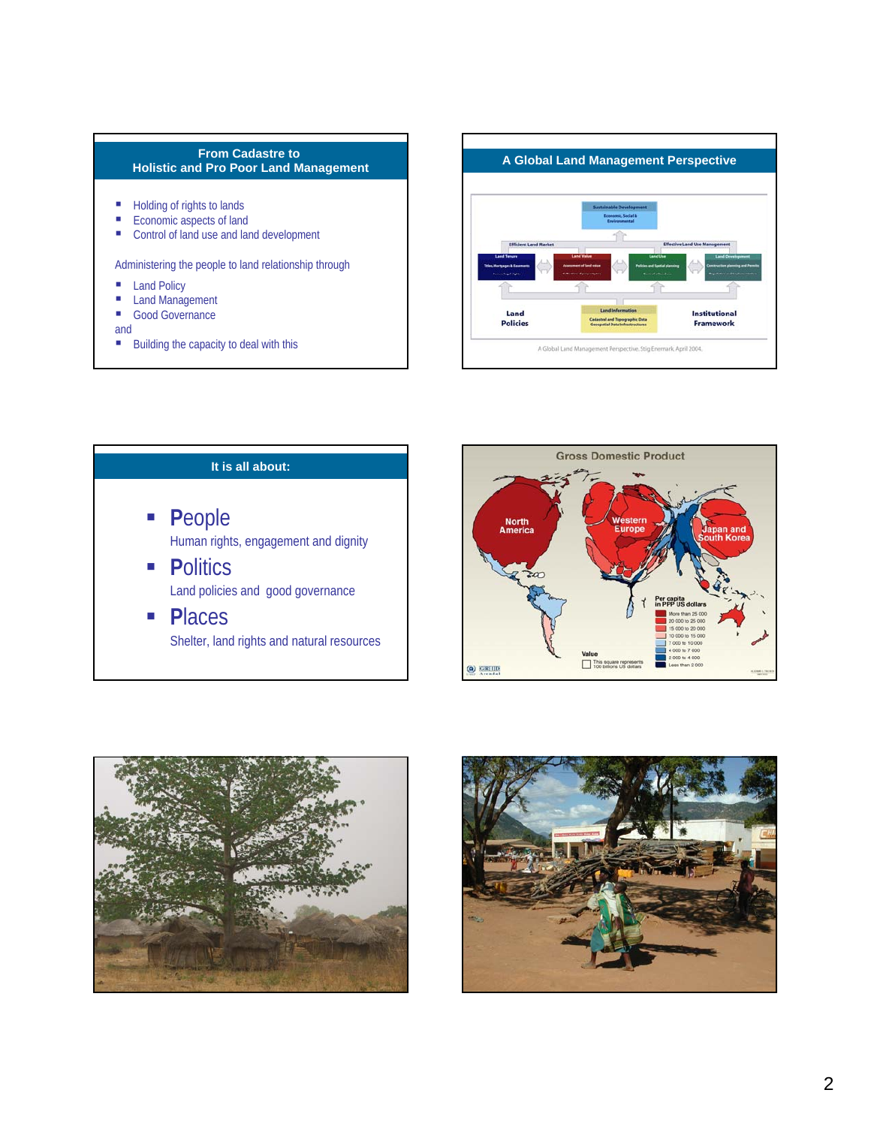## **From Cadastre to Holistic and Pro Poor Land Management**

- Holding of rights to lands
- $\blacksquare$  Economic aspects of land
- Control of land use and land development

Administering the people to land relationship through

- **Land Policy**
- **Land Management**
- Good Governance
- and
- $\blacksquare$  Building the capacity to deal with this